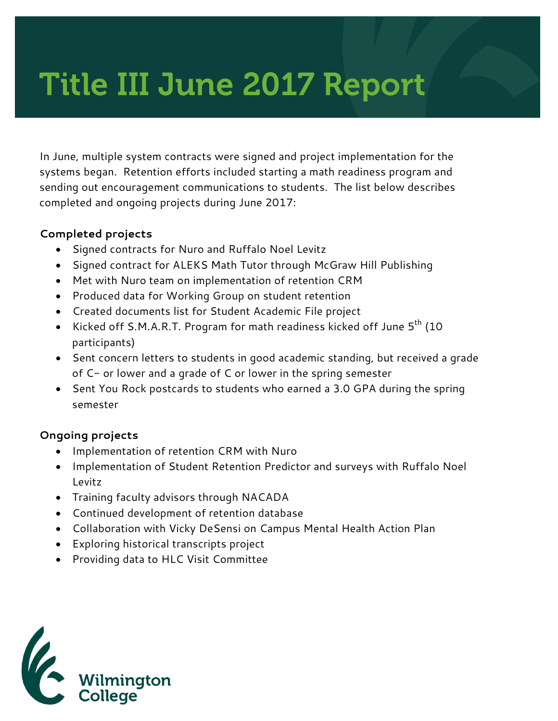# Title III June 2017 Report

In June, multiple system contracts were signed and project implementation for the systems began. Retention efforts included starting a math readiness program and sending out encouragement communications to students. The list below describes completed and ongoing projects during June 2017:

#### **Completed projects**

- Signed contracts for Nuro and Ruffalo Noel Levitz
- Signed contract for ALEKS Math Tutor through McGraw Hill Publishing
- Met with Nuro team on implementation of retention CRM
- Produced data for Working Group on student retention
- Created documents list for Student Academic File project
- Kicked off S.M.A.R.T. Program for math readiness kicked off June  $5<sup>th</sup>$  (10 participants)
- Sent concern letters to students in good academic standing, but received a grade of C- or lower and a grade of C or lower in the spring semester
- Sent You Rock postcards to students who earned a 3.0 GPA during the spring semester

#### **Ongoing projects**

- Implementation of retention CRM with Nuro
- Implementation of Student Retention Predictor and surveys with Ruffalo Noel Levitz
- Training faculty advisors through NACADA
- Continued development of retention database
- Collaboration with Vicky DeSensi on Campus Mental Health Action Plan
- Exploring historical transcripts project
- Providing data to HLC Visit Committee